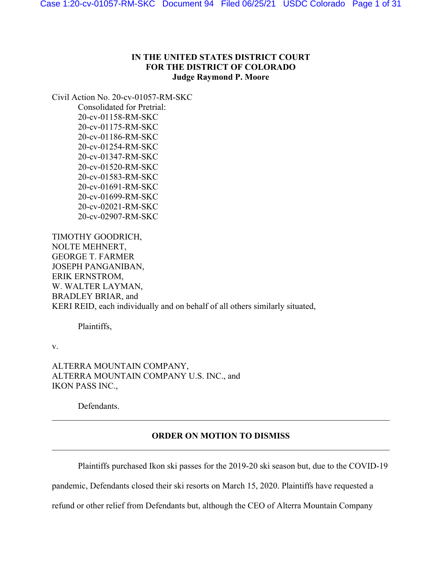# **IN THE UNITED STATES DISTRICT COURT FOR THE DISTRICT OF COLORADO Judge Raymond P. Moore**

Civil Action No. 20-cv-01057-RM-SKC Consolidated for Pretrial: 20-cv-01158-RM-SKC 20-cv-01175-RM-SKC 20-cv-01186-RM-SKC 20-cv-01254-RM-SKC 20-cv-01347-RM-SKC 20-cv-01520-RM-SKC 20-cv-01583-RM-SKC 20-cv-01691-RM-SKC 20-cv-01699-RM-SKC 20-cv-02021-RM-SKC

20-cv-02907-RM-SKC

TIMOTHY GOODRICH, NOLTE MEHNERT, GEORGE T. FARMER JOSEPH PANGANIBAN, ERIK ERNSTROM, W. WALTER LAYMAN, BRADLEY BRIAR, and KERI REID, each individually and on behalf of all others similarly situated,

Plaintiffs,

v.

ALTERRA MOUNTAIN COMPANY, ALTERRA MOUNTAIN COMPANY U.S. INC., and IKON PASS INC.,

Defendants.

# **ORDER ON MOTION TO DISMISS**   $\_$  , and the set of the set of the set of the set of the set of the set of the set of the set of the set of the set of the set of the set of the set of the set of the set of the set of the set of the set of the set of th

Plaintiffs purchased Ikon ski passes for the 2019-20 ski season but, due to the COVID-19

pandemic, Defendants closed their ski resorts on March 15, 2020. Plaintiffs have requested a

refund or other relief from Defendants but, although the CEO of Alterra Mountain Company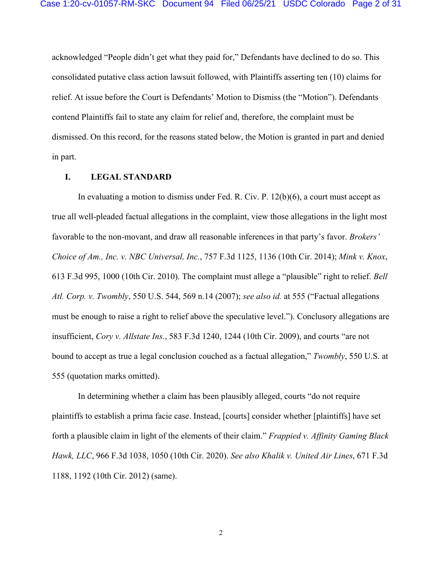acknowledged "People didn't get what they paid for," Defendants have declined to do so. This consolidated putative class action lawsuit followed, with Plaintiffs asserting ten (10) claims for relief. At issue before the Court is Defendants' Motion to Dismiss (the "Motion"). Defendants contend Plaintiffs fail to state any claim for relief and, therefore, the complaint must be dismissed. On this record, for the reasons stated below, the Motion is granted in part and denied in part.

#### **I. LEGAL STANDARD**

In evaluating a motion to dismiss under Fed. R. Civ. P. 12(b)(6), a court must accept as true all well-pleaded factual allegations in the complaint, view those allegations in the light most favorable to the non-movant, and draw all reasonable inferences in that party's favor. *Brokers' Choice of Am., Inc. v. NBC Universal, Inc.*, 757 F.3d 1125, 1136 (10th Cir. 2014); *Mink v. Knox*, 613 F.3d 995, 1000 (10th Cir. 2010). The complaint must allege a "plausible" right to relief. *Bell Atl. Corp. v. Twombly*, 550 U.S. 544, 569 n.14 (2007); *see also id.* at 555 ("Factual allegations must be enough to raise a right to relief above the speculative level."). Conclusory allegations are insufficient, *Cory v. Allstate Ins.*, 583 F.3d 1240, 1244 (10th Cir. 2009), and courts "are not bound to accept as true a legal conclusion couched as a factual allegation," *Twombly*, 550 U.S. at 555 (quotation marks omitted).

In determining whether a claim has been plausibly alleged, courts "do not require plaintiffs to establish a prima facie case. Instead, [courts] consider whether [plaintiffs] have set forth a plausible claim in light of the elements of their claim." *Frappied v. Affinity Gaming Black Hawk, LLC*, 966 F.3d 1038, 1050 (10th Cir. 2020). *See also Khalik v. United Air Lines*, 671 F.3d 1188, 1192 (10th Cir. 2012) (same).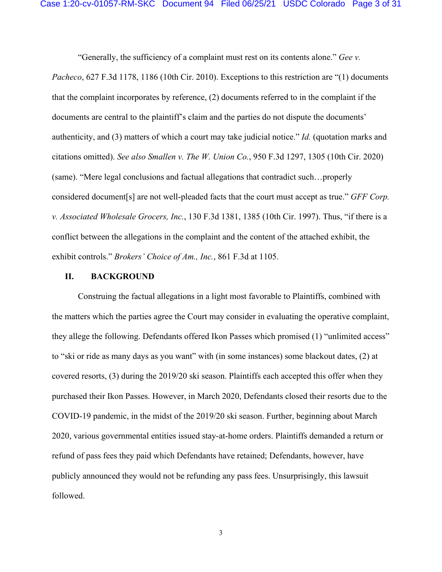"Generally, the sufficiency of a complaint must rest on its contents alone." *Gee v.* 

*Pacheco*, 627 F.3d 1178, 1186 (10th Cir. 2010). Exceptions to this restriction are "(1) documents that the complaint incorporates by reference, (2) documents referred to in the complaint if the documents are central to the plaintiff's claim and the parties do not dispute the documents' authenticity, and (3) matters of which a court may take judicial notice." *Id.* (quotation marks and citations omitted). *See also Smallen v. The W. Union Co.*, 950 F.3d 1297, 1305 (10th Cir. 2020) (same). "Mere legal conclusions and factual allegations that contradict such…properly considered document[s] are not well-pleaded facts that the court must accept as true." *GFF Corp. v. Associated Wholesale Grocers, Inc.*, 130 F.3d 1381, 1385 (10th Cir. 1997). Thus, "if there is a conflict between the allegations in the complaint and the content of the attached exhibit, the exhibit controls." *Brokers' Choice of Am., Inc.*, 861 F.3d at 1105.

#### **II. BACKGROUND**

Construing the factual allegations in a light most favorable to Plaintiffs, combined with the matters which the parties agree the Court may consider in evaluating the operative complaint, they allege the following. Defendants offered Ikon Passes which promised (1) "unlimited access" to "ski or ride as many days as you want" with (in some instances) some blackout dates, (2) at covered resorts, (3) during the 2019/20 ski season. Plaintiffs each accepted this offer when they purchased their Ikon Passes. However, in March 2020, Defendants closed their resorts due to the COVID-19 pandemic, in the midst of the 2019/20 ski season. Further, beginning about March 2020, various governmental entities issued stay-at-home orders. Plaintiffs demanded a return or refund of pass fees they paid which Defendants have retained; Defendants, however, have publicly announced they would not be refunding any pass fees. Unsurprisingly, this lawsuit followed.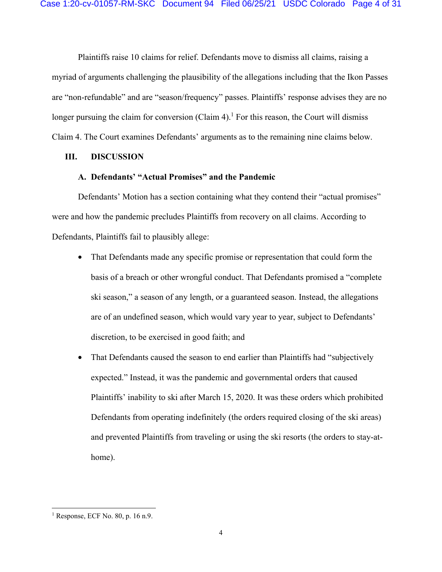Plaintiffs raise 10 claims for relief. Defendants move to dismiss all claims, raising a myriad of arguments challenging the plausibility of the allegations including that the Ikon Passes are "non-refundable" and are "season/frequency" passes. Plaintiffs' response advises they are no longer pursuing the claim for conversion (Claim  $4$ ).<sup>1</sup> For this reason, the Court will dismiss Claim 4. The Court examines Defendants' arguments as to the remaining nine claims below.

### **III. DISCUSSION**

# **A. Defendants' "Actual Promises" and the Pandemic**

Defendants' Motion has a section containing what they contend their "actual promises" were and how the pandemic precludes Plaintiffs from recovery on all claims. According to Defendants, Plaintiffs fail to plausibly allege:

- That Defendants made any specific promise or representation that could form the basis of a breach or other wrongful conduct. That Defendants promised a "complete ski season," a season of any length, or a guaranteed season. Instead, the allegations are of an undefined season, which would vary year to year, subject to Defendants' discretion, to be exercised in good faith; and
- That Defendants caused the season to end earlier than Plaintiffs had "subjectively expected." Instead, it was the pandemic and governmental orders that caused Plaintiffs' inability to ski after March 15, 2020. It was these orders which prohibited Defendants from operating indefinitely (the orders required closing of the ski areas) and prevented Plaintiffs from traveling or using the ski resorts (the orders to stay-athome).

<sup>1</sup> Response, ECF No. 80, p. 16 n.9.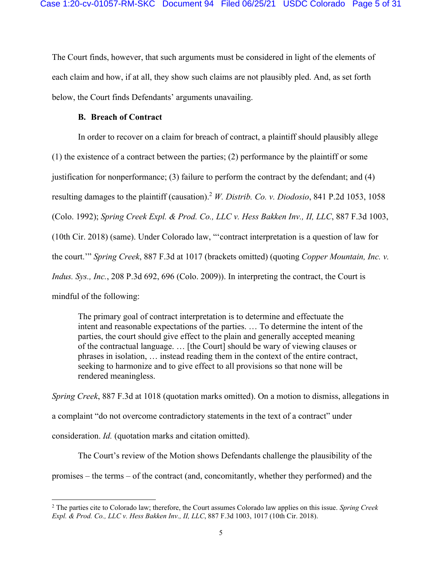The Court finds, however, that such arguments must be considered in light of the elements of each claim and how, if at all, they show such claims are not plausibly pled. And, as set forth below, the Court finds Defendants' arguments unavailing.

### **B. Breach of Contract**

In order to recover on a claim for breach of contract, a plaintiff should plausibly allege (1) the existence of a contract between the parties; (2) performance by the plaintiff or some justification for nonperformance; (3) failure to perform the contract by the defendant; and  $(4)$ resulting damages to the plaintiff (causation).2 *W. Distrib. Co. v. Diodosio*, 841 P.2d 1053, 1058 (Colo. 1992); *Spring Creek Expl. & Prod. Co., LLC v. Hess Bakken Inv., II, LLC*, 887 F.3d 1003, (10th Cir. 2018) (same). Under Colorado law, "'contract interpretation is a question of law for the court.'" *Spring Creek*, 887 F.3d at 1017 (brackets omitted) (quoting *Copper Mountain, Inc. v. Indus. Sys., Inc.*, 208 P.3d 692, 696 (Colo. 2009)). In interpreting the contract, the Court is mindful of the following:

The primary goal of contract interpretation is to determine and effectuate the intent and reasonable expectations of the parties. … To determine the intent of the parties, the court should give effect to the plain and generally accepted meaning of the contractual language. … [the Court] should be wary of viewing clauses or phrases in isolation, … instead reading them in the context of the entire contract, seeking to harmonize and to give effect to all provisions so that none will be rendered meaningless.

*Spring Creek*, 887 F.3d at 1018 (quotation marks omitted). On a motion to dismiss, allegations in a complaint "do not overcome contradictory statements in the text of a contract" under consideration. *Id.* (quotation marks and citation omitted).

The Court's review of the Motion shows Defendants challenge the plausibility of the promises – the terms – of the contract (and, concomitantly, whether they performed) and the

<sup>2</sup> The parties cite to Colorado law; therefore, the Court assumes Colorado law applies on this issue. *Spring Creek Expl. & Prod. Co., LLC v. Hess Bakken Inv., II, LLC*, 887 F.3d 1003, 1017 (10th Cir. 2018).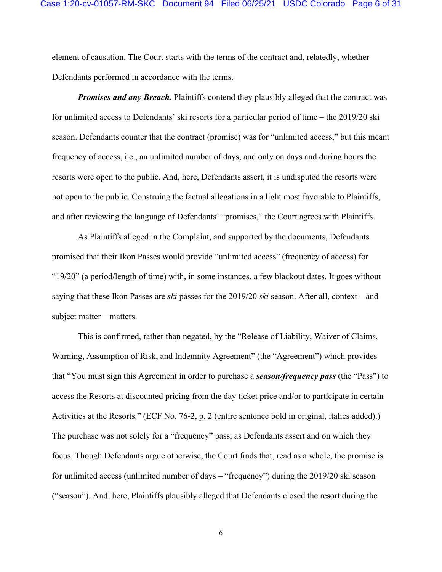element of causation. The Court starts with the terms of the contract and, relatedly, whether Defendants performed in accordance with the terms.

*Promises and any Breach.* Plaintiffs contend they plausibly alleged that the contract was for unlimited access to Defendants' ski resorts for a particular period of time – the 2019/20 ski season. Defendants counter that the contract (promise) was for "unlimited access," but this meant frequency of access, i.e., an unlimited number of days, and only on days and during hours the resorts were open to the public. And, here, Defendants assert, it is undisputed the resorts were not open to the public. Construing the factual allegations in a light most favorable to Plaintiffs, and after reviewing the language of Defendants' "promises," the Court agrees with Plaintiffs.

As Plaintiffs alleged in the Complaint, and supported by the documents, Defendants promised that their Ikon Passes would provide "unlimited access" (frequency of access) for "19/20" (a period/length of time) with, in some instances, a few blackout dates. It goes without saying that these Ikon Passes are *ski* passes for the 2019/20 *ski* season. After all, context – and subject matter – matters.

This is confirmed, rather than negated, by the "Release of Liability, Waiver of Claims, Warning, Assumption of Risk, and Indemnity Agreement" (the "Agreement") which provides that "You must sign this Agreement in order to purchase a *season/frequency pass* (the "Pass") to access the Resorts at discounted pricing from the day ticket price and/or to participate in certain Activities at the Resorts." (ECF No. 76-2, p. 2 (entire sentence bold in original, italics added).) The purchase was not solely for a "frequency" pass, as Defendants assert and on which they focus. Though Defendants argue otherwise, the Court finds that, read as a whole, the promise is for unlimited access (unlimited number of days – "frequency") during the 2019/20 ski season ("season"). And, here, Plaintiffs plausibly alleged that Defendants closed the resort during the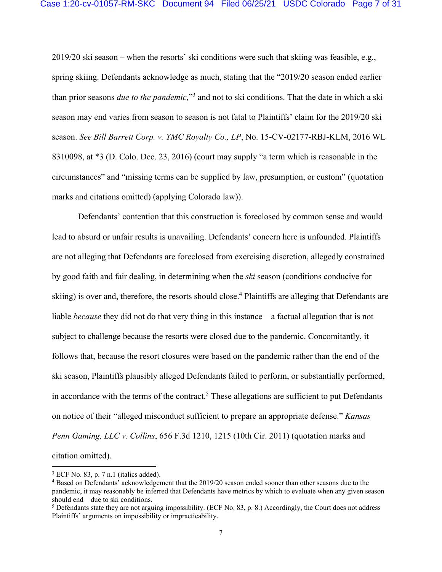2019/20 ski season – when the resorts' ski conditions were such that skiing was feasible, e.g., spring skiing. Defendants acknowledge as much, stating that the "2019/20 season ended earlier than prior seasons *due to the pandemic,*"3 and not to ski conditions. That the date in which a ski season may end varies from season to season is not fatal to Plaintiffs' claim for the 2019/20 ski season. *See Bill Barrett Corp. v. YMC Royalty Co., LP*, No. 15-CV-02177-RBJ-KLM, 2016 WL 8310098, at \*3 (D. Colo. Dec. 23, 2016) (court may supply "a term which is reasonable in the circumstances" and "missing terms can be supplied by law, presumption, or custom" (quotation marks and citations omitted) (applying Colorado law)).

Defendants' contention that this construction is foreclosed by common sense and would lead to absurd or unfair results is unavailing. Defendants' concern here is unfounded. Plaintiffs are not alleging that Defendants are foreclosed from exercising discretion, allegedly constrained by good faith and fair dealing, in determining when the *ski* season (conditions conducive for skiing) is over and, therefore, the resorts should close.<sup>4</sup> Plaintiffs are alleging that Defendants are liable *because* they did not do that very thing in this instance – a factual allegation that is not subject to challenge because the resorts were closed due to the pandemic. Concomitantly, it follows that, because the resort closures were based on the pandemic rather than the end of the ski season, Plaintiffs plausibly alleged Defendants failed to perform, or substantially performed, in accordance with the terms of the contract.<sup>5</sup> These allegations are sufficient to put Defendants on notice of their "alleged misconduct sufficient to prepare an appropriate defense." *Kansas Penn Gaming, LLC v. Collins*, 656 F.3d 1210, 1215 (10th Cir. 2011) (quotation marks and citation omitted).

<sup>3</sup> ECF No. 83, p. 7 n.1 (italics added).

<sup>&</sup>lt;sup>4</sup> Based on Defendants' acknowledgement that the 2019/20 season ended sooner than other seasons due to the pandemic, it may reasonably be inferred that Defendants have metrics by which to evaluate when any given season should end – due to ski conditions.

<sup>&</sup>lt;sup>5</sup> Defendants state they are not arguing impossibility. (ECF No. 83, p. 8.) Accordingly, the Court does not address Plaintiffs' arguments on impossibility or impracticability.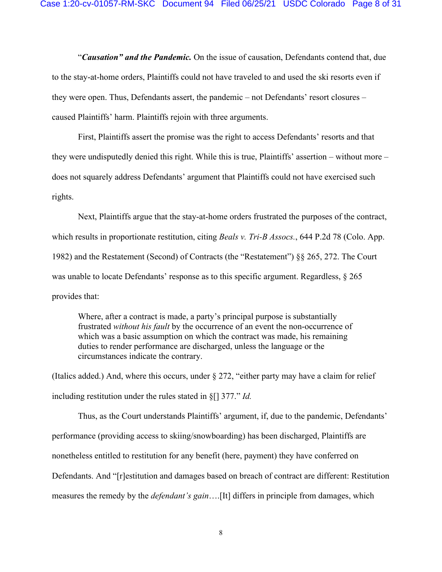"*Causation" and the Pandemic.* On the issue of causation, Defendants contend that, due to the stay-at-home orders, Plaintiffs could not have traveled to and used the ski resorts even if they were open. Thus, Defendants assert, the pandemic – not Defendants' resort closures – caused Plaintiffs' harm. Plaintiffs rejoin with three arguments.

First, Plaintiffs assert the promise was the right to access Defendants' resorts and that they were undisputedly denied this right. While this is true, Plaintiffs' assertion – without more – does not squarely address Defendants' argument that Plaintiffs could not have exercised such rights.

Next, Plaintiffs argue that the stay-at-home orders frustrated the purposes of the contract, which results in proportionate restitution, citing *Beals v. Tri-B Assocs.*, 644 P.2d 78 (Colo. App. 1982) and the Restatement (Second) of Contracts (the "Restatement") §§ 265, 272. The Court was unable to locate Defendants' response as to this specific argument. Regardless, § 265 provides that:

Where, after a contract is made, a party's principal purpose is substantially frustrated *without his fault* by the occurrence of an event the non-occurrence of which was a basic assumption on which the contract was made, his remaining duties to render performance are discharged, unless the language or the circumstances indicate the contrary.

(Italics added.) And, where this occurs, under § 272, "either party may have a claim for relief including restitution under the rules stated in §[] 377." *Id.* 

Thus, as the Court understands Plaintiffs' argument, if, due to the pandemic, Defendants' performance (providing access to skiing/snowboarding) has been discharged, Plaintiffs are nonetheless entitled to restitution for any benefit (here, payment) they have conferred on Defendants. And "[r]estitution and damages based on breach of contract are different: Restitution measures the remedy by the *defendant's gain*….[It] differs in principle from damages, which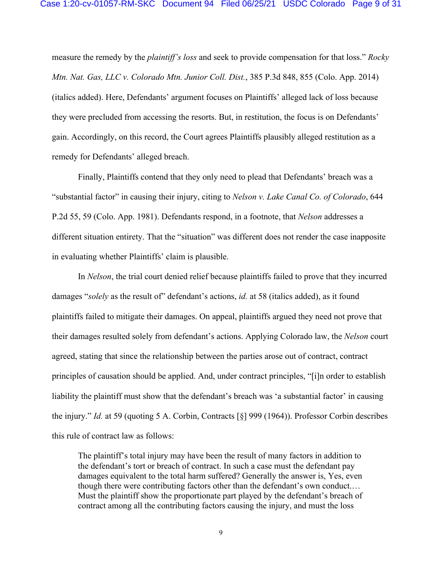measure the remedy by the *plaintiff's loss* and seek to provide compensation for that loss." *Rocky Mtn. Nat. Gas, LLC v. Colorado Mtn. Junior Coll. Dist.*, 385 P.3d 848, 855 (Colo. App. 2014) (italics added). Here, Defendants' argument focuses on Plaintiffs' alleged lack of loss because they were precluded from accessing the resorts. But, in restitution, the focus is on Defendants' gain. Accordingly, on this record, the Court agrees Plaintiffs plausibly alleged restitution as a remedy for Defendants' alleged breach.

 Finally, Plaintiffs contend that they only need to plead that Defendants' breach was a "substantial factor" in causing their injury, citing to *Nelson v. Lake Canal Co. of Colorado*, 644 P.2d 55, 59 (Colo. App. 1981). Defendants respond, in a footnote, that *Nelson* addresses a different situation entirety. That the "situation" was different does not render the case inapposite in evaluating whether Plaintiffs' claim is plausible.

In *Nelson*, the trial court denied relief because plaintiffs failed to prove that they incurred damages "*solely* as the result of" defendant's actions, *id.* at 58 (italics added), as it found plaintiffs failed to mitigate their damages. On appeal, plaintiffs argued they need not prove that their damages resulted solely from defendant's actions. Applying Colorado law, the *Nelson* court agreed, stating that since the relationship between the parties arose out of contract, contract principles of causation should be applied. And, under contract principles, "[i]n order to establish liability the plaintiff must show that the defendant's breach was 'a substantial factor' in causing the injury." *Id.* at 59 (quoting 5 A. Corbin, Contracts [§] 999 (1964)). Professor Corbin describes this rule of contract law as follows:

The plaintiff's total injury may have been the result of many factors in addition to the defendant's tort or breach of contract. In such a case must the defendant pay damages equivalent to the total harm suffered? Generally the answer is, Yes, even though there were contributing factors other than the defendant's own conduct.… Must the plaintiff show the proportionate part played by the defendant's breach of contract among all the contributing factors causing the injury, and must the loss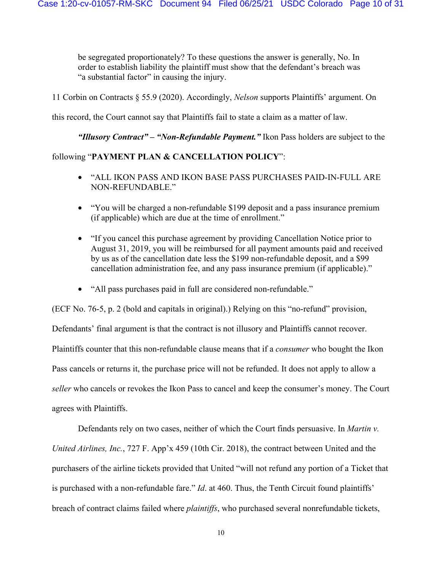be segregated proportionately? To these questions the answer is generally, No. In order to establish liability the plaintiff must show that the defendant's breach was "a substantial factor" in causing the injury.

11 Corbin on Contracts § 55.9 (2020). Accordingly, *Nelson* supports Plaintiffs' argument. On

this record, the Court cannot say that Plaintiffs fail to state a claim as a matter of law.

*"Illusory Contract" – "Non-Refundable Payment."* Ikon Pass holders are subject to the

# following "**PAYMENT PLAN & CANCELLATION POLICY**":

- "ALL IKON PASS AND IKON BASE PASS PURCHASES PAID-IN-FULL ARE NON-REFUNDABLE."
- "You will be charged a non-refundable \$199 deposit and a pass insurance premium (if applicable) which are due at the time of enrollment."
- "If you cancel this purchase agreement by providing Cancellation Notice prior to August 31, 2019, you will be reimbursed for all payment amounts paid and received by us as of the cancellation date less the \$199 non-refundable deposit, and a \$99 cancellation administration fee, and any pass insurance premium (if applicable)."
- "All pass purchases paid in full are considered non-refundable."

(ECF No. 76-5, p. 2 (bold and capitals in original).) Relying on this "no-refund" provision, Defendants' final argument is that the contract is not illusory and Plaintiffs cannot recover. Plaintiffs counter that this non-refundable clause means that if a *consumer* who bought the Ikon Pass cancels or returns it, the purchase price will not be refunded. It does not apply to allow a *seller* who cancels or revokes the Ikon Pass to cancel and keep the consumer's money. The Court agrees with Plaintiffs.

 Defendants rely on two cases, neither of which the Court finds persuasive. In *Martin v. United Airlines, Inc.*, 727 F. App'x 459 (10th Cir. 2018), the contract between United and the purchasers of the airline tickets provided that United "will not refund any portion of a Ticket that is purchased with a non-refundable fare." *Id*. at 460. Thus, the Tenth Circuit found plaintiffs' breach of contract claims failed where *plaintiffs*, who purchased several nonrefundable tickets,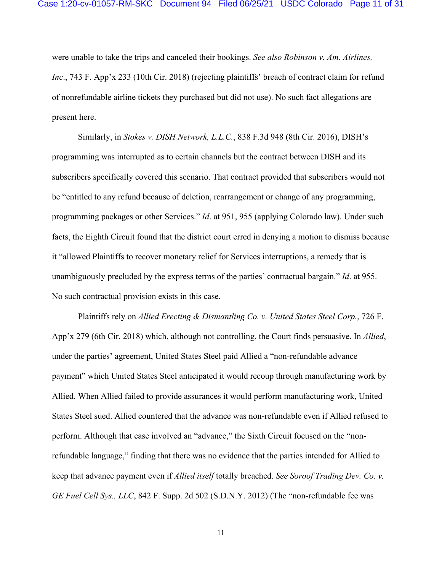were unable to take the trips and canceled their bookings. *See also Robinson v. Am. Airlines, Inc.*, 743 F. App'x 233 (10th Cir. 2018) (rejecting plaintiffs' breach of contract claim for refund of nonrefundable airline tickets they purchased but did not use). No such fact allegations are present here.

 Similarly, in *Stokes v. DISH Network, L.L.C.*, 838 F.3d 948 (8th Cir. 2016), DISH's programming was interrupted as to certain channels but the contract between DISH and its subscribers specifically covered this scenario. That contract provided that subscribers would not be "entitled to any refund because of deletion, rearrangement or change of any programming, programming packages or other Services." *Id*. at 951, 955 (applying Colorado law). Under such facts, the Eighth Circuit found that the district court erred in denying a motion to dismiss because it "allowed Plaintiffs to recover monetary relief for Services interruptions, a remedy that is unambiguously precluded by the express terms of the parties' contractual bargain." *Id*. at 955. No such contractual provision exists in this case.

 Plaintiffs rely on *Allied Erecting & Dismantling Co. v. United States Steel Corp.*, 726 F. App'x 279 (6th Cir. 2018) which, although not controlling, the Court finds persuasive. In *Allied*, under the parties' agreement, United States Steel paid Allied a "non-refundable advance payment" which United States Steel anticipated it would recoup through manufacturing work by Allied. When Allied failed to provide assurances it would perform manufacturing work, United States Steel sued. Allied countered that the advance was non-refundable even if Allied refused to perform. Although that case involved an "advance," the Sixth Circuit focused on the "nonrefundable language," finding that there was no evidence that the parties intended for Allied to keep that advance payment even if *Allied itself* totally breached. *See Soroof Trading Dev. Co. v. GE Fuel Cell Sys., LLC*, 842 F. Supp. 2d 502 (S.D.N.Y. 2012) (The "non-refundable fee was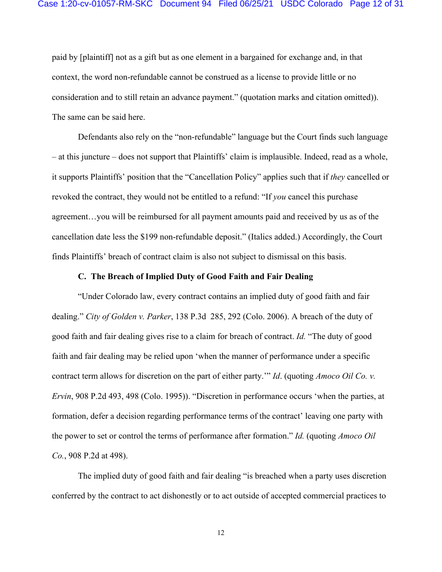paid by [plaintiff] not as a gift but as one element in a bargained for exchange and, in that context, the word non-refundable cannot be construed as a license to provide little or no consideration and to still retain an advance payment." (quotation marks and citation omitted)). The same can be said here.

 Defendants also rely on the "non-refundable" language but the Court finds such language – at this juncture – does not support that Plaintiffs' claim is implausible. Indeed, read as a whole, it supports Plaintiffs' position that the "Cancellation Policy" applies such that if *they* cancelled or revoked the contract, they would not be entitled to a refund: "If *you* cancel this purchase agreement…you will be reimbursed for all payment amounts paid and received by us as of the cancellation date less the \$199 non-refundable deposit." (Italics added.) Accordingly, the Court finds Plaintiffs' breach of contract claim is also not subject to dismissal on this basis.

### **C. The Breach of Implied Duty of Good Faith and Fair Dealing**

"Under Colorado law, every contract contains an implied duty of good faith and fair dealing." *City of Golden v. Parker*, 138 P.3d 285, 292 (Colo. 2006). A breach of the duty of good faith and fair dealing gives rise to a claim for breach of contract. *Id.* "The duty of good faith and fair dealing may be relied upon 'when the manner of performance under a specific contract term allows for discretion on the part of either party.'" *Id*. (quoting *Amoco Oil Co. v. Ervin*, 908 P.2d 493, 498 (Colo. 1995)). "Discretion in performance occurs 'when the parties, at formation, defer a decision regarding performance terms of the contract' leaving one party with the power to set or control the terms of performance after formation." *Id.* (quoting *Amoco Oil Co.*, 908 P.2d at 498).

The implied duty of good faith and fair dealing "is breached when a party uses discretion conferred by the contract to act dishonestly or to act outside of accepted commercial practices to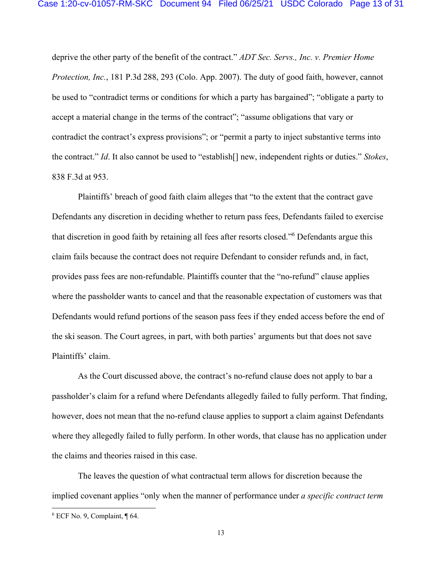deprive the other party of the benefit of the contract." *ADT Sec. Servs., Inc. v. Premier Home Protection, Inc.*, 181 P.3d 288, 293 (Colo. App. 2007). The duty of good faith, however, cannot be used to "contradict terms or conditions for which a party has bargained"; "obligate a party to accept a material change in the terms of the contract"; "assume obligations that vary or contradict the contract's express provisions"; or "permit a party to inject substantive terms into the contract." *Id*. It also cannot be used to "establish[] new, independent rights or duties." *Stokes*, 838 F.3d at 953.

Plaintiffs' breach of good faith claim alleges that "to the extent that the contract gave Defendants any discretion in deciding whether to return pass fees, Defendants failed to exercise that discretion in good faith by retaining all fees after resorts closed."6 Defendants argue this claim fails because the contract does not require Defendant to consider refunds and, in fact, provides pass fees are non-refundable. Plaintiffs counter that the "no-refund" clause applies where the passholder wants to cancel and that the reasonable expectation of customers was that Defendants would refund portions of the season pass fees if they ended access before the end of the ski season. The Court agrees, in part, with both parties' arguments but that does not save Plaintiffs' claim.

As the Court discussed above, the contract's no-refund clause does not apply to bar a passholder's claim for a refund where Defendants allegedly failed to fully perform. That finding, however, does not mean that the no-refund clause applies to support a claim against Defendants where they allegedly failed to fully perform. In other words, that clause has no application under the claims and theories raised in this case.

The leaves the question of what contractual term allows for discretion because the implied covenant applies "only when the manner of performance under *a specific contract term*

<sup>6</sup> ECF No. 9, Complaint, ¶ 64.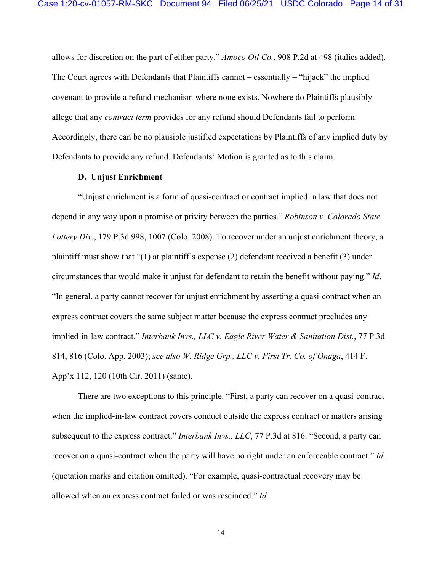allows for discretion on the part of either party." *Amoco Oil Co.*, 908 P.2d at 498 (italics added). The Court agrees with Defendants that Plaintiffs cannot – essentially – "hijack" the implied covenant to provide a refund mechanism where none exists. Nowhere do Plaintiffs plausibly allege that any *contract term* provides for any refund should Defendants fail to perform. Accordingly, there can be no plausible justified expectations by Plaintiffs of any implied duty by Defendants to provide any refund. Defendants' Motion is granted as to this claim.

#### **D. Unjust Enrichment**

 "Unjust enrichment is a form of quasi-contract or contract implied in law that does not depend in any way upon a promise or privity between the parties." *Robinson v. Colorado State Lottery Div.*, 179 P.3d 998, 1007 (Colo. 2008). To recover under an unjust enrichment theory, a plaintiff must show that "(1) at plaintiff's expense (2) defendant received a benefit (3) under circumstances that would make it unjust for defendant to retain the benefit without paying." *Id*. "In general, a party cannot recover for unjust enrichment by asserting a quasi-contract when an express contract covers the same subject matter because the express contract precludes any implied-in-law contract." *Interbank Invs., LLC v. Eagle River Water & Sanitation Dist.*, 77 P.3d 814, 816 (Colo. App. 2003); *see also W. Ridge Grp., LLC v. First Tr. Co. of Onaga*, 414 F. App'x 112, 120 (10th Cir. 2011) (same).

There are two exceptions to this principle. "First, a party can recover on a quasi-contract when the implied-in-law contract covers conduct outside the express contract or matters arising subsequent to the express contract." *Interbank Invs., LLC*, 77 P.3d at 816. "Second, a party can recover on a quasi-contract when the party will have no right under an enforceable contract." *Id.*  (quotation marks and citation omitted). "For example, quasi-contractual recovery may be allowed when an express contract failed or was rescinded." *Id.*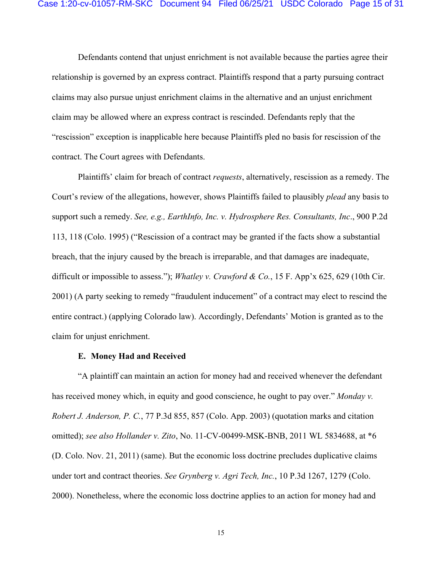Defendants contend that unjust enrichment is not available because the parties agree their relationship is governed by an express contract. Plaintiffs respond that a party pursuing contract claims may also pursue unjust enrichment claims in the alternative and an unjust enrichment claim may be allowed where an express contract is rescinded. Defendants reply that the "rescission" exception is inapplicable here because Plaintiffs pled no basis for rescission of the contract. The Court agrees with Defendants.

Plaintiffs' claim for breach of contract *requests*, alternatively, rescission as a remedy. The Court's review of the allegations, however, shows Plaintiffs failed to plausibly *plead* any basis to support such a remedy. *See, e.g., EarthInfo, Inc. v. Hydrosphere Res. Consultants, Inc*., 900 P.2d 113, 118 (Colo. 1995) ("Rescission of a contract may be granted if the facts show a substantial breach, that the injury caused by the breach is irreparable, and that damages are inadequate, difficult or impossible to assess."); *Whatley v. Crawford & Co.*, 15 F. App'x 625, 629 (10th Cir. 2001) (A party seeking to remedy "fraudulent inducement" of a contract may elect to rescind the entire contract.) (applying Colorado law). Accordingly, Defendants' Motion is granted as to the claim for unjust enrichment.

#### **E. Money Had and Received**

"A plaintiff can maintain an action for money had and received whenever the defendant has received money which, in equity and good conscience, he ought to pay over." *Monday v. Robert J. Anderson, P. C.*, 77 P.3d 855, 857 (Colo. App. 2003) (quotation marks and citation omitted); *see also Hollander v. Zito*, No. 11-CV-00499-MSK-BNB, 2011 WL 5834688, at \*6 (D. Colo. Nov. 21, 2011) (same). But the economic loss doctrine precludes duplicative claims under tort and contract theories. *See Grynberg v. Agri Tech, Inc.*, 10 P.3d 1267, 1279 (Colo. 2000). Nonetheless, where the economic loss doctrine applies to an action for money had and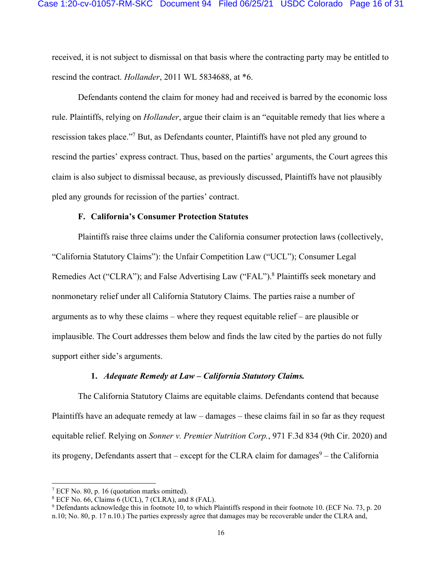received, it is not subject to dismissal on that basis where the contracting party may be entitled to rescind the contract. *Hollander*, 2011 WL 5834688, at \*6.

Defendants contend the claim for money had and received is barred by the economic loss rule. Plaintiffs, relying on *Hollander*, argue their claim is an "equitable remedy that lies where a rescission takes place."<sup>7</sup> But, as Defendants counter, Plaintiffs have not pled any ground to rescind the parties' express contract. Thus, based on the parties' arguments, the Court agrees this claim is also subject to dismissal because, as previously discussed, Plaintiffs have not plausibly pled any grounds for recission of the parties' contract.

#### **F. California's Consumer Protection Statutes**

Plaintiffs raise three claims under the California consumer protection laws (collectively, "California Statutory Claims"): the Unfair Competition Law ("UCL"); Consumer Legal Remedies Act ("CLRA"); and False Advertising Law ("FAL").<sup>8</sup> Plaintiffs seek monetary and nonmonetary relief under all California Statutory Claims. The parties raise a number of arguments as to why these claims – where they request equitable relief – are plausible or implausible. The Court addresses them below and finds the law cited by the parties do not fully support either side's arguments.

#### **1.** *Adequate Remedy at Law – California Statutory Claims.*

The California Statutory Claims are equitable claims. Defendants contend that because Plaintiffs have an adequate remedy at law – damages – these claims fail in so far as they request equitable relief. Relying on *Sonner v. Premier Nutrition Corp.*, 971 F.3d 834 (9th Cir. 2020) and its progeny, Defendants assert that – except for the CLRA claim for damages $9$  – the California

<sup>7</sup> ECF No. 80, p. 16 (quotation marks omitted).

<sup>8</sup> ECF No. 66, Claims 6 (UCL), 7 (CLRA), and 8 (FAL).

<sup>&</sup>lt;sup>9</sup> Defendants acknowledge this in footnote 10, to which Plaintiffs respond in their footnote 10. (ECF No. 73, p. 20 n.10; No. 80, p. 17 n.10.) The parties expressly agree that damages may be recoverable under the CLRA and,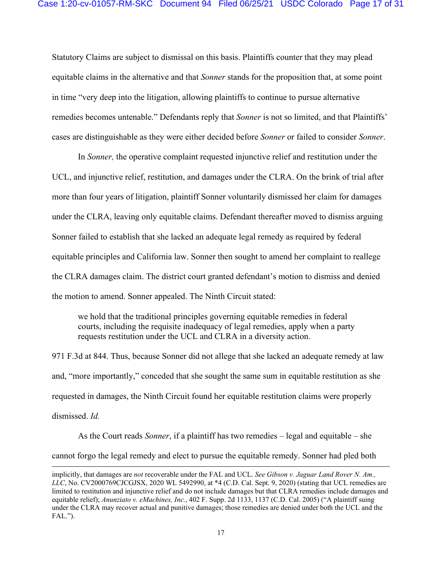Statutory Claims are subject to dismissal on this basis. Plaintiffs counter that they may plead equitable claims in the alternative and that *Sonner* stands for the proposition that, at some point in time "very deep into the litigation, allowing plaintiffs to continue to pursue alternative remedies becomes untenable." Defendants reply that *Sonner* is not so limited, and that Plaintiffs' cases are distinguishable as they were either decided before *Sonner* or failed to consider *Sonner*.

In *Sonner,* the operative complaint requested injunctive relief and restitution under the UCL, and injunctive relief, restitution, and damages under the CLRA. On the brink of trial after more than four years of litigation, plaintiff Sonner voluntarily dismissed her claim for damages under the CLRA, leaving only equitable claims. Defendant thereafter moved to dismiss arguing Sonner failed to establish that she lacked an adequate legal remedy as required by federal equitable principles and California law. Sonner then sought to amend her complaint to reallege the CLRA damages claim. The district court granted defendant's motion to dismiss and denied the motion to amend. Sonner appealed. The Ninth Circuit stated:

we hold that the traditional principles governing equitable remedies in federal courts, including the requisite inadequacy of legal remedies, apply when a party requests restitution under the UCL and CLRA in a diversity action.

971 F.3d at 844. Thus, because Sonner did not allege that she lacked an adequate remedy at law and, "more importantly," conceded that she sought the same sum in equitable restitution as she requested in damages, the Ninth Circuit found her equitable restitution claims were properly dismissed. *Id.* 

As the Court reads *Sonner*, if a plaintiff has two remedies – legal and equitable – she cannot forgo the legal remedy and elect to pursue the equitable remedy. Sonner had pled both

implicitly, that damages are *not* recoverable under the FAL and UCL. *See Gibson v. Jaguar Land Rover N. Am., LLC*, No. CV2000769CJCGJSX, 2020 WL 5492990, at \*4 (C.D. Cal. Sept. 9, 2020) (stating that UCL remedies are limited to restitution and injunctive relief and do not include damages but that CLRA remedies include damages and equitable relief); *Anunziato v. eMachines, Inc.*, 402 F. Supp. 2d 1133, 1137 (C.D. Cal. 2005) ("A plaintiff suing under the CLRA may recover actual and punitive damages; those remedies are denied under both the UCL and the FAL.").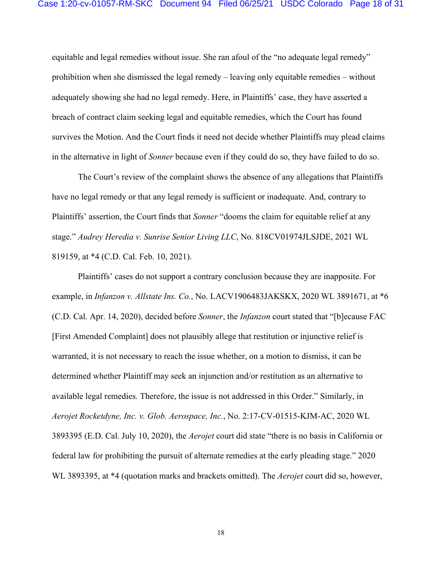equitable and legal remedies without issue. She ran afoul of the "no adequate legal remedy" prohibition when she dismissed the legal remedy – leaving only equitable remedies – without adequately showing she had no legal remedy. Here, in Plaintiffs' case, they have asserted a breach of contract claim seeking legal and equitable remedies, which the Court has found survives the Motion. And the Court finds it need not decide whether Plaintiffs may plead claims in the alternative in light of *Sonner* because even if they could do so, they have failed to do so.

The Court's review of the complaint shows the absence of any allegations that Plaintiffs have no legal remedy or that any legal remedy is sufficient or inadequate. And, contrary to Plaintiffs' assertion, the Court finds that *Sonner* "dooms the claim for equitable relief at any stage." *Audrey Heredia v. Sunrise Senior Living LLC*, No. 818CV01974JLSJDE, 2021 WL 819159, at \*4 (C.D. Cal. Feb. 10, 2021).

Plaintiffs' cases do not support a contrary conclusion because they are inapposite. For example, in *Infanzon v. Allstate Ins. Co.*, No. LACV1906483JAKSKX, 2020 WL 3891671, at \*6 (C.D. Cal. Apr. 14, 2020), decided before *Sonner*, the *Infanzon* court stated that "[b]ecause FAC [First Amended Complaint] does not plausibly allege that restitution or injunctive relief is warranted, it is not necessary to reach the issue whether, on a motion to dismiss, it can be determined whether Plaintiff may seek an injunction and/or restitution as an alternative to available legal remedies. Therefore, the issue is not addressed in this Order." Similarly, in *Aerojet Rocketdyne, Inc. v. Glob. Aerospace, Inc.*, No. 2:17-CV-01515-KJM-AC, 2020 WL 3893395 (E.D. Cal. July 10, 2020), the *Aerojet* court did state "there is no basis in California or federal law for prohibiting the pursuit of alternate remedies at the early pleading stage." 2020 WL 3893395, at \*4 (quotation marks and brackets omitted). The *Aerojet* court did so, however,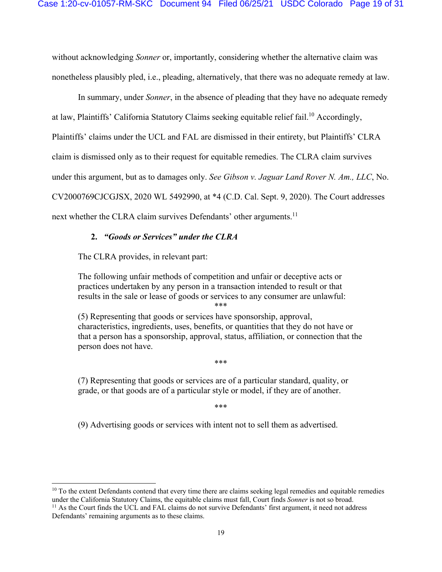without acknowledging *Sonner* or, importantly, considering whether the alternative claim was nonetheless plausibly pled, i.e., pleading, alternatively, that there was no adequate remedy at law.

In summary, under *Sonner*, in the absence of pleading that they have no adequate remedy at law, Plaintiffs' California Statutory Claims seeking equitable relief fail.<sup>10</sup> Accordingly, Plaintiffs' claims under the UCL and FAL are dismissed in their entirety, but Plaintiffs' CLRA claim is dismissed only as to their request for equitable remedies. The CLRA claim survives under this argument, but as to damages only. *See Gibson v. Jaguar Land Rover N. Am., LLC*, No. CV2000769CJCGJSX, 2020 WL 5492990, at \*4 (C.D. Cal. Sept. 9, 2020). The Court addresses next whether the CLRA claim survives Defendants' other arguments.<sup>11</sup>

#### **2.** *"Goods or Services" under the CLRA*

The CLRA provides, in relevant part:

The following unfair methods of competition and unfair or deceptive acts or practices undertaken by any person in a transaction intended to result or that results in the sale or lease of goods or services to any consumer are unlawful:

\*\*\*

(5) Representing that goods or services have sponsorship, approval, characteristics, ingredients, uses, benefits, or quantities that they do not have or that a person has a sponsorship, approval, status, affiliation, or connection that the person does not have.

\*\*\*

(7) Representing that goods or services are of a particular standard, quality, or grade, or that goods are of a particular style or model, if they are of another.

\*\*\*

(9) Advertising goods or services with intent not to sell them as advertised.

 $10$  To the extent Defendants contend that every time there are claims seeking legal remedies and equitable remedies under the California Statutory Claims, the equitable claims must fall, Court finds *Sonner* is not so br <sup>11</sup> As the Court finds the UCL and FAL claims do not survive Defendants' first argument, it need not address

Defendants' remaining arguments as to these claims.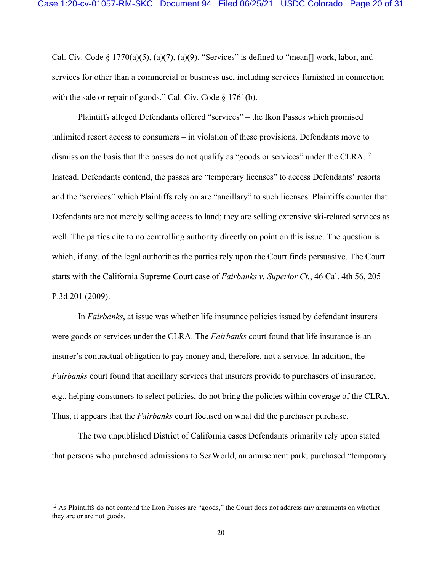Cal. Civ. Code  $\S 1770(a)(5)$ ,  $(a)(7)$ ,  $(a)(9)$ . "Services" is defined to "mean<sup>[]</sup> work, labor, and services for other than a commercial or business use, including services furnished in connection with the sale or repair of goods." Cal. Civ. Code § 1761(b).

Plaintiffs alleged Defendants offered "services" – the Ikon Passes which promised unlimited resort access to consumers – in violation of these provisions. Defendants move to dismiss on the basis that the passes do not qualify as "goods or services" under the CLRA.<sup>12</sup> Instead, Defendants contend, the passes are "temporary licenses" to access Defendants' resorts and the "services" which Plaintiffs rely on are "ancillary" to such licenses. Plaintiffs counter that Defendants are not merely selling access to land; they are selling extensive ski-related services as well. The parties cite to no controlling authority directly on point on this issue. The question is which, if any, of the legal authorities the parties rely upon the Court finds persuasive. The Court starts with the California Supreme Court case of *Fairbanks v. Superior Ct.*, 46 Cal. 4th 56, 205 P.3d 201 (2009).

In *Fairbanks*, at issue was whether life insurance policies issued by defendant insurers were goods or services under the CLRA. The *Fairbanks* court found that life insurance is an insurer's contractual obligation to pay money and, therefore, not a service. In addition, the *Fairbanks* court found that ancillary services that insurers provide to purchasers of insurance, e.g., helping consumers to select policies, do not bring the policies within coverage of the CLRA. Thus, it appears that the *Fairbanks* court focused on what did the purchaser purchase.

The two unpublished District of California cases Defendants primarily rely upon stated that persons who purchased admissions to SeaWorld, an amusement park, purchased "temporary

<sup>&</sup>lt;sup>12</sup> As Plaintiffs do not contend the Ikon Passes are "goods," the Court does not address any arguments on whether they are or are not goods.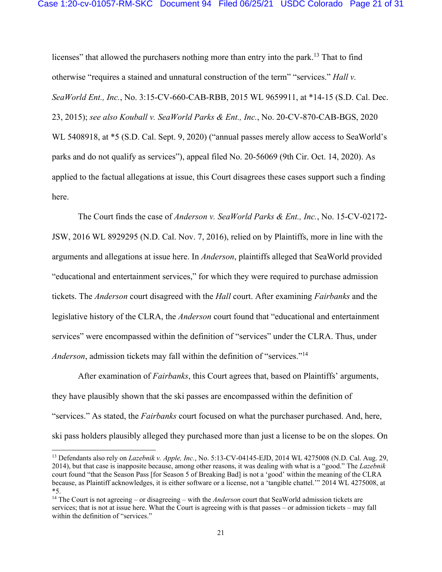licenses" that allowed the purchasers nothing more than entry into the park.<sup>13</sup> That to find otherwise "requires a stained and unnatural construction of the term" "services." *Hall v. SeaWorld Ent., Inc.*, No. 3:15-CV-660-CAB-RBB, 2015 WL 9659911, at \*14-15 (S.D. Cal. Dec. 23, 2015); *see also Kouball v. SeaWorld Parks & Ent., Inc.*, No. 20-CV-870-CAB-BGS, 2020 WL 5408918, at \*5 (S.D. Cal. Sept. 9, 2020) ("annual passes merely allow access to SeaWorld's parks and do not qualify as services"), appeal filed No. 20-56069 (9th Cir. Oct. 14, 2020). As applied to the factual allegations at issue, this Court disagrees these cases support such a finding here.

The Court finds the case of *Anderson v. SeaWorld Parks & Ent., Inc.*, No. 15-CV-02172- JSW, 2016 WL 8929295 (N.D. Cal. Nov. 7, 2016), relied on by Plaintiffs, more in line with the arguments and allegations at issue here. In *Anderson*, plaintiffs alleged that SeaWorld provided "educational and entertainment services," for which they were required to purchase admission tickets. The *Anderson* court disagreed with the *Hall* court. After examining *Fairbanks* and the legislative history of the CLRA, the *Anderson* court found that "educational and entertainment services" were encompassed within the definition of "services" under the CLRA. Thus, under *Anderson*, admission tickets may fall within the definition of "services."<sup>14</sup>

After examination of *Fairbanks*, this Court agrees that, based on Plaintiffs' arguments, they have plausibly shown that the ski passes are encompassed within the definition of "services." As stated, the *Fairbanks* court focused on what the purchaser purchased. And, here, ski pass holders plausibly alleged they purchased more than just a license to be on the slopes. On

<sup>13</sup> Defendants also rely on *Lazebnik v. Apple, Inc.*, No. 5:13-CV-04145-EJD, 2014 WL 4275008 (N.D. Cal. Aug. 29, 2014), but that case is inapposite because, among other reasons, it was dealing with what is a "good." The *Lazebnik* court found "that the Season Pass [for Season 5 of Breaking Bad] is not a 'good' within the meaning of the CLRA because, as Plaintiff acknowledges, it is either software or a license, not a 'tangible chattel.'" 2014 WL 4275008, at \*5.

<sup>14</sup> The Court is not agreeing – or disagreeing – with the *Anderson* court that SeaWorld admission tickets are services; that is not at issue here. What the Court is agreeing with is that passes – or admission tickets – may fall within the definition of "services."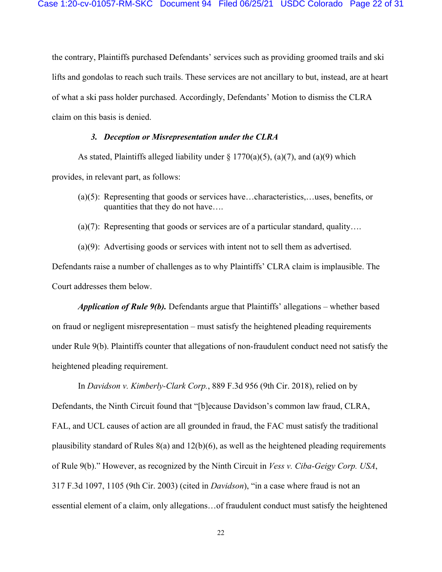the contrary, Plaintiffs purchased Defendants' services such as providing groomed trails and ski lifts and gondolas to reach such trails. These services are not ancillary to but, instead, are at heart of what a ski pass holder purchased. Accordingly, Defendants' Motion to dismiss the CLRA claim on this basis is denied.

#### *3. Deception or Misrepresentation under the CLRA*

As stated, Plaintiffs alleged liability under  $\S 1770(a)(5)$ ,  $(a)(7)$ , and  $(a)(9)$  which provides, in relevant part, as follows:

- (a)(5): Representing that goods or services have…characteristics,…uses, benefits, or quantities that they do not have….
- (a)(7): Representing that goods or services are of a particular standard, quality....

(a)(9): Advertising goods or services with intent not to sell them as advertised. Defendants raise a number of challenges as to why Plaintiffs' CLRA claim is implausible. The Court addresses them below.

*Application of Rule 9(b).* Defendants argue that Plaintiffs' allegations – whether based on fraud or negligent misrepresentation – must satisfy the heightened pleading requirements under Rule 9(b). Plaintiffs counter that allegations of non-fraudulent conduct need not satisfy the heightened pleading requirement.

In *Davidson v. Kimberly-Clark Corp.*, 889 F.3d 956 (9th Cir. 2018), relied on by Defendants, the Ninth Circuit found that "[b]ecause Davidson's common law fraud, CLRA, FAL, and UCL causes of action are all grounded in fraud, the FAC must satisfy the traditional plausibility standard of Rules  $8(a)$  and  $12(b)(6)$ , as well as the heightened pleading requirements of Rule 9(b)." However, as recognized by the Ninth Circuit in *Vess v. Ciba-Geigy Corp. USA*, 317 F.3d 1097, 1105 (9th Cir. 2003) (cited in *Davidson*), "in a case where fraud is not an essential element of a claim, only allegations…of fraudulent conduct must satisfy the heightened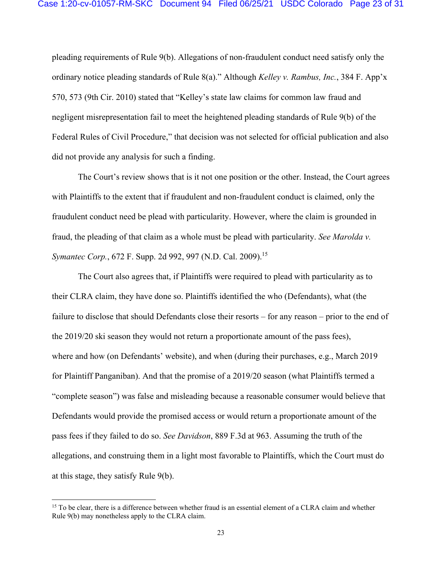pleading requirements of Rule 9(b). Allegations of non-fraudulent conduct need satisfy only the ordinary notice pleading standards of Rule 8(a)." Although *Kelley v. Rambus, Inc.*, 384 F. App'x 570, 573 (9th Cir. 2010) stated that "Kelley's state law claims for common law fraud and negligent misrepresentation fail to meet the heightened pleading standards of Rule 9(b) of the Federal Rules of Civil Procedure," that decision was not selected for official publication and also did not provide any analysis for such a finding.

The Court's review shows that is it not one position or the other. Instead, the Court agrees with Plaintiffs to the extent that if fraudulent and non-fraudulent conduct is claimed, only the fraudulent conduct need be plead with particularity. However, where the claim is grounded in fraud, the pleading of that claim as a whole must be plead with particularity. *See Marolda v. Symantec Corp.*, 672 F. Supp. 2d 992, 997 (N.D. Cal. 2009).<sup>15</sup>

The Court also agrees that, if Plaintiffs were required to plead with particularity as to their CLRA claim, they have done so. Plaintiffs identified the who (Defendants), what (the failure to disclose that should Defendants close their resorts – for any reason – prior to the end of the 2019/20 ski season they would not return a proportionate amount of the pass fees), where and how (on Defendants' website), and when (during their purchases, e.g., March 2019 for Plaintiff Panganiban). And that the promise of a 2019/20 season (what Plaintiffs termed a "complete season") was false and misleading because a reasonable consumer would believe that Defendants would provide the promised access or would return a proportionate amount of the pass fees if they failed to do so. *See Davidson*, 889 F.3d at 963. Assuming the truth of the allegations, and construing them in a light most favorable to Plaintiffs, which the Court must do at this stage, they satisfy Rule 9(b).

<sup>&</sup>lt;sup>15</sup> To be clear, there is a difference between whether fraud is an essential element of a CLRA claim and whether Rule 9(b) may nonetheless apply to the CLRA claim.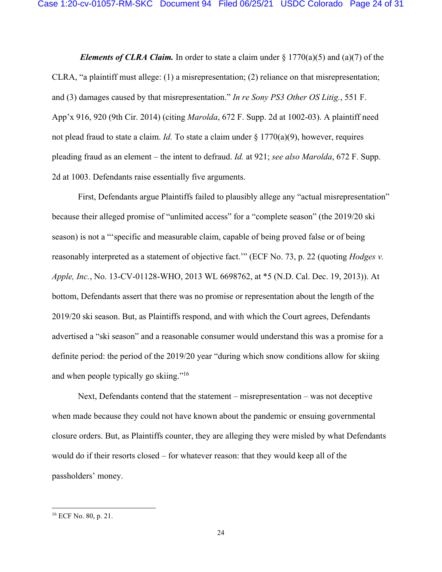*Elements of CLRA Claim.* In order to state a claim under  $\S 1770(a)(5)$  and  $(a)(7)$  of the CLRA, "a plaintiff must allege: (1) a misrepresentation; (2) reliance on that misrepresentation; and (3) damages caused by that misrepresentation." *In re Sony PS3 Other OS Litig.*, 551 F. App'x 916, 920 (9th Cir. 2014) (citing *Marolda*, 672 F. Supp. 2d at 1002-03). A plaintiff need not plead fraud to state a claim. *Id.* To state a claim under § 1770(a)(9), however, requires pleading fraud as an element – the intent to defraud. *Id.* at 921; *see also Marolda*, 672 F. Supp. 2d at 1003. Defendants raise essentially five arguments.

 First, Defendants argue Plaintiffs failed to plausibly allege any "actual misrepresentation" because their alleged promise of "unlimited access" for a "complete season" (the 2019/20 ski season) is not a "'specific and measurable claim, capable of being proved false or of being reasonably interpreted as a statement of objective fact.'" (ECF No. 73, p. 22 (quoting *Hodges v. Apple, Inc.*, No. 13-CV-01128-WHO, 2013 WL 6698762, at \*5 (N.D. Cal. Dec. 19, 2013)). At bottom, Defendants assert that there was no promise or representation about the length of the 2019/20 ski season. But, as Plaintiffs respond, and with which the Court agrees, Defendants advertised a "ski season" and a reasonable consumer would understand this was a promise for a definite period: the period of the 2019/20 year "during which snow conditions allow for skiing and when people typically go skiing."<sup>16</sup>

 Next, Defendants contend that the statement – misrepresentation – was not deceptive when made because they could not have known about the pandemic or ensuing governmental closure orders. But, as Plaintiffs counter, they are alleging they were misled by what Defendants would do if their resorts closed – for whatever reason: that they would keep all of the passholders' money.

<sup>16</sup> ECF No. 80, p. 21.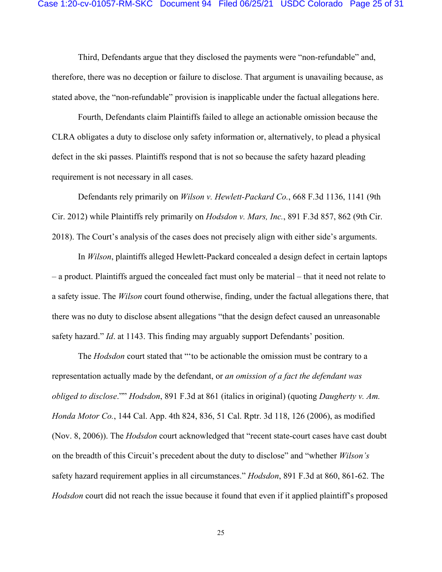Third, Defendants argue that they disclosed the payments were "non-refundable" and, therefore, there was no deception or failure to disclose. That argument is unavailing because, as stated above, the "non-refundable" provision is inapplicable under the factual allegations here.

 Fourth, Defendants claim Plaintiffs failed to allege an actionable omission because the CLRA obligates a duty to disclose only safety information or, alternatively, to plead a physical defect in the ski passes. Plaintiffs respond that is not so because the safety hazard pleading requirement is not necessary in all cases.

 Defendants rely primarily on *Wilson v. Hewlett-Packard Co.*, 668 F.3d 1136, 1141 (9th Cir. 2012) while Plaintiffs rely primarily on *Hodsdon v. Mars, Inc.*, 891 F.3d 857, 862 (9th Cir. 2018). The Court's analysis of the cases does not precisely align with either side's arguments.

In *Wilson*, plaintiffs alleged Hewlett-Packard concealed a design defect in certain laptops – a product. Plaintiffs argued the concealed fact must only be material – that it need not relate to a safety issue. The *Wilson* court found otherwise, finding, under the factual allegations there, that there was no duty to disclose absent allegations "that the design defect caused an unreasonable safety hazard." *Id*. at 1143. This finding may arguably support Defendants' position.

The *Hodsdon* court stated that "'to be actionable the omission must be contrary to a representation actually made by the defendant, or *an omission of a fact the defendant was obliged to disclose*."" *Hodsdon*, 891 F.3d at 861 (italics in original) (quoting *Daugherty v. Am. Honda Motor Co.*, 144 Cal. App. 4th 824, 836, 51 Cal. Rptr. 3d 118, 126 (2006), as modified (Nov. 8, 2006)). The *Hodsdon* court acknowledged that "recent state-court cases have cast doubt on the breadth of this Circuit's precedent about the duty to disclose" and "whether *Wilson's* safety hazard requirement applies in all circumstances." *Hodsdon*, 891 F.3d at 860, 861-62. The *Hodsdon* court did not reach the issue because it found that even if it applied plaintiff's proposed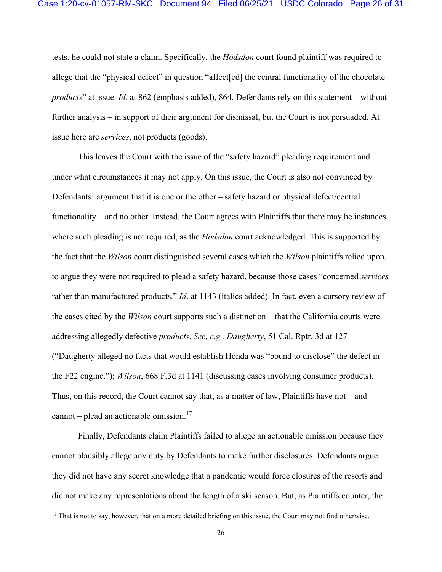tests, he could not state a claim. Specifically, the *Hodsdon* court found plaintiff was required to allege that the "physical defect" in question "affect[ed] the central functionality of the chocolate *products*" at issue. *Id*. at 862 (emphasis added), 864. Defendants rely on this statement – without further analysis – in support of their argument for dismissal, but the Court is not persuaded. At issue here are *services*, not products (goods).

This leaves the Court with the issue of the "safety hazard" pleading requirement and under what circumstances it may not apply. On this issue, the Court is also not convinced by Defendants' argument that it is one or the other – safety hazard or physical defect/central functionality – and no other. Instead, the Court agrees with Plaintiffs that there may be instances where such pleading is not required, as the *Hodsdon* court acknowledged. This is supported by the fact that the *Wilson* court distinguished several cases which the *Wilson* plaintiffs relied upon, to argue they were not required to plead a safety hazard, because those cases "concerned *services* rather than manufactured products." *Id*. at 1143 (italics added). In fact, even a cursory review of the cases cited by the *Wilson* court supports such a distinction – that the California courts were addressing allegedly defective *products*. *See, e.g., Daugherty*, 51 Cal. Rptr. 3d at 127 ("Daugherty alleged no facts that would establish Honda was "bound to disclose" the defect in the F22 engine."); *Wilson*, 668 F.3d at 1141 (discussing cases involving consumer products). Thus, on this record, the Court cannot say that, as a matter of law, Plaintiffs have not – and cannot – plead an actionable omission.<sup>17</sup>

 Finally, Defendants claim Plaintiffs failed to allege an actionable omission because they cannot plausibly allege any duty by Defendants to make further disclosures. Defendants argue they did not have any secret knowledge that a pandemic would force closures of the resorts and did not make any representations about the length of a ski season. But, as Plaintiffs counter, the

 $17$  That is not to say, however, that on a more detailed briefing on this issue, the Court may not find otherwise.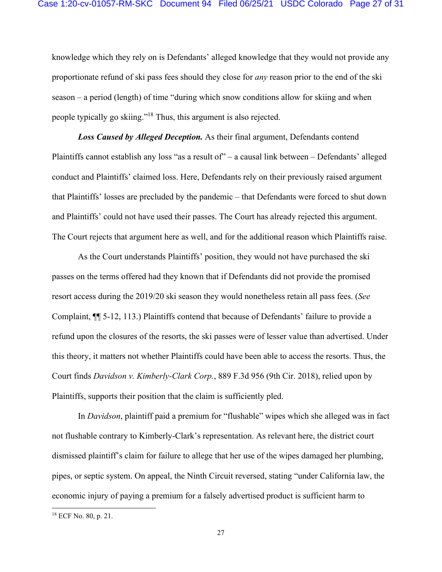knowledge which they rely on is Defendants' alleged knowledge that they would not provide any proportionate refund of ski pass fees should they close for *any* reason prior to the end of the ski season – a period (length) of time "during which snow conditions allow for skiing and when people typically go skiing."18 Thus, this argument is also rejected.

 *Loss Caused by Alleged Deception.* As their final argument, Defendants contend Plaintiffs cannot establish any loss "as a result of" – a causal link between – Defendants' alleged conduct and Plaintiffs' claimed loss. Here, Defendants rely on their previously raised argument that Plaintiffs' losses are precluded by the pandemic – that Defendants were forced to shut down and Plaintiffs' could not have used their passes. The Court has already rejected this argument. The Court rejects that argument here as well, and for the additional reason which Plaintiffs raise.

 As the Court understands Plaintiffs' position, they would not have purchased the ski passes on the terms offered had they known that if Defendants did not provide the promised resort access during the 2019/20 ski season they would nonetheless retain all pass fees. (*See*  Complaint, ¶¶ 5-12, 113.) Plaintiffs contend that because of Defendants' failure to provide a refund upon the closures of the resorts, the ski passes were of lesser value than advertised. Under this theory, it matters not whether Plaintiffs could have been able to access the resorts. Thus, the Court finds *Davidson v. Kimberly-Clark Corp.*, 889 F.3d 956 (9th Cir. 2018), relied upon by Plaintiffs, supports their position that the claim is sufficiently pled.

 In *Davidson*, plaintiff paid a premium for "flushable" wipes which she alleged was in fact not flushable contrary to Kimberly-Clark's representation. As relevant here, the district court dismissed plaintiff's claim for failure to allege that her use of the wipes damaged her plumbing, pipes, or septic system. On appeal, the Ninth Circuit reversed, stating "under California law, the economic injury of paying a premium for a falsely advertised product is sufficient harm to

<sup>18</sup> ECF No. 80, p. 21.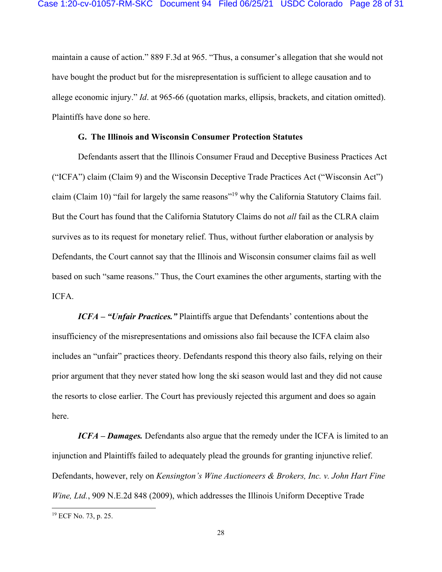maintain a cause of action." 889 F.3d at 965. "Thus, a consumer's allegation that she would not have bought the product but for the misrepresentation is sufficient to allege causation and to allege economic injury." *Id*. at 965-66 (quotation marks, ellipsis, brackets, and citation omitted). Plaintiffs have done so here.

#### **G. The Illinois and Wisconsin Consumer Protection Statutes**

Defendants assert that the Illinois Consumer Fraud and Deceptive Business Practices Act ("ICFA") claim (Claim 9) and the Wisconsin Deceptive Trade Practices Act ("Wisconsin Act") claim (Claim 10) "fail for largely the same reasons"19 why the California Statutory Claims fail. But the Court has found that the California Statutory Claims do not *all* fail as the CLRA claim survives as to its request for monetary relief. Thus, without further elaboration or analysis by Defendants, the Court cannot say that the Illinois and Wisconsin consumer claims fail as well based on such "same reasons." Thus, the Court examines the other arguments, starting with the ICFA.

 *ICFA – "Unfair Practices."* Plaintiffs argue that Defendants' contentions about the insufficiency of the misrepresentations and omissions also fail because the ICFA claim also includes an "unfair" practices theory. Defendants respond this theory also fails, relying on their prior argument that they never stated how long the ski season would last and they did not cause the resorts to close earlier. The Court has previously rejected this argument and does so again here.

 *ICFA – Damages.* Defendants also argue that the remedy under the ICFA is limited to an injunction and Plaintiffs failed to adequately plead the grounds for granting injunctive relief. Defendants, however, rely on *Kensington's Wine Auctioneers & Brokers, Inc. v. John Hart Fine Wine, Ltd.*, 909 N.E.2d 848 (2009), which addresses the Illinois Uniform Deceptive Trade

<sup>19</sup> ECF No. 73, p. 25.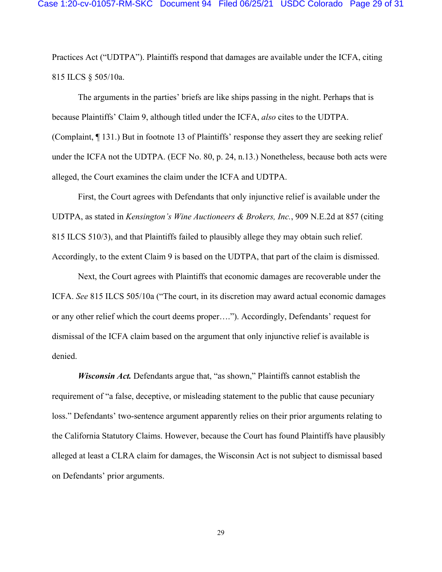Practices Act ("UDTPA"). Plaintiffs respond that damages are available under the ICFA, citing 815 ILCS § 505/10a.

The arguments in the parties' briefs are like ships passing in the night. Perhaps that is because Plaintiffs' Claim 9, although titled under the ICFA, *also* cites to the UDTPA. (Complaint, ¶ 131.) But in footnote 13 of Plaintiffs' response they assert they are seeking relief under the ICFA not the UDTPA. (ECF No. 80, p. 24, n.13.) Nonetheless, because both acts were alleged, the Court examines the claim under the ICFA and UDTPA.

First, the Court agrees with Defendants that only injunctive relief is available under the UDTPA, as stated in *Kensington's Wine Auctioneers & Brokers, Inc.*, 909 N.E.2d at 857 (citing 815 ILCS 510/3), and that Plaintiffs failed to plausibly allege they may obtain such relief. Accordingly, to the extent Claim 9 is based on the UDTPA, that part of the claim is dismissed.

Next, the Court agrees with Plaintiffs that economic damages are recoverable under the ICFA. *See* 815 ILCS 505/10a ("The court, in its discretion may award actual economic damages or any other relief which the court deems proper…."). Accordingly, Defendants' request for dismissal of the ICFA claim based on the argument that only injunctive relief is available is denied.

*Wisconsin Act.* Defendants argue that, "as shown," Plaintiffs cannot establish the requirement of "a false, deceptive, or misleading statement to the public that cause pecuniary loss." Defendants' two-sentence argument apparently relies on their prior arguments relating to the California Statutory Claims. However, because the Court has found Plaintiffs have plausibly alleged at least a CLRA claim for damages, the Wisconsin Act is not subject to dismissal based on Defendants' prior arguments.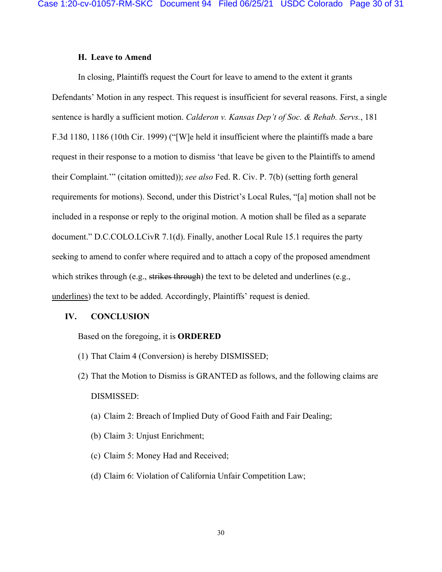### **H. Leave to Amend**

In closing, Plaintiffs request the Court for leave to amend to the extent it grants Defendants' Motion in any respect. This request is insufficient for several reasons. First, a single sentence is hardly a sufficient motion. *Calderon v. Kansas Dep't of Soc. & Rehab. Servs.*, 181 F.3d 1180, 1186 (10th Cir. 1999) ("[W]e held it insufficient where the plaintiffs made a bare request in their response to a motion to dismiss 'that leave be given to the Plaintiffs to amend their Complaint.'" (citation omitted)); *see also* Fed. R. Civ. P. 7(b) (setting forth general requirements for motions). Second, under this District's Local Rules, "[a] motion shall not be included in a response or reply to the original motion. A motion shall be filed as a separate document." D.C.COLO.LCivR 7.1(d). Finally, another Local Rule 15.1 requires the party seeking to amend to confer where required and to attach a copy of the proposed amendment which strikes through (e.g., strikes through) the text to be deleted and underlines (e.g., underlines) the text to be added. Accordingly, Plaintiffs' request is denied.

#### **IV. CONCLUSION**

Based on the foregoing, it is **ORDERED** 

- (1) That Claim 4 (Conversion) is hereby DISMISSED;
- (2) That the Motion to Dismiss is GRANTED as follows, and the following claims are DISMISSED:
	- (a) Claim 2: Breach of Implied Duty of Good Faith and Fair Dealing;
	- (b) Claim 3: Unjust Enrichment;
	- (c) Claim 5: Money Had and Received;
	- (d) Claim 6: Violation of California Unfair Competition Law;